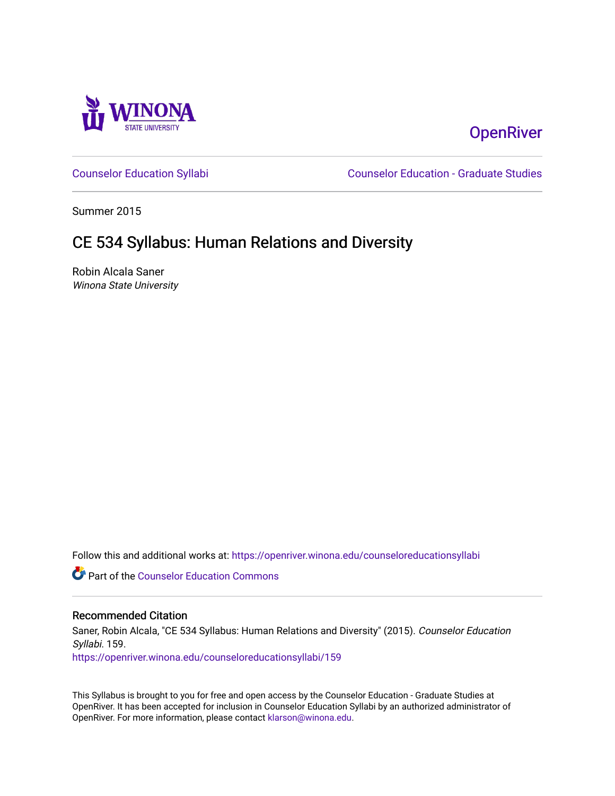

# **OpenRiver**

[Counselor Education Syllabi](https://openriver.winona.edu/counseloreducationsyllabi) [Counselor Education - Graduate Studies](https://openriver.winona.edu/counseloreducation) 

Summer 2015

## CE 534 Syllabus: Human Relations and Diversity

Robin Alcala Saner Winona State University

Follow this and additional works at: [https://openriver.winona.edu/counseloreducationsyllabi](https://openriver.winona.edu/counseloreducationsyllabi?utm_source=openriver.winona.edu%2Fcounseloreducationsyllabi%2F159&utm_medium=PDF&utm_campaign=PDFCoverPages)

Part of the [Counselor Education Commons](http://network.bepress.com/hgg/discipline/1278?utm_source=openriver.winona.edu%2Fcounseloreducationsyllabi%2F159&utm_medium=PDF&utm_campaign=PDFCoverPages) 

#### Recommended Citation

Saner, Robin Alcala, "CE 534 Syllabus: Human Relations and Diversity" (2015). Counselor Education Syllabi. 159.

[https://openriver.winona.edu/counseloreducationsyllabi/159](https://openriver.winona.edu/counseloreducationsyllabi/159?utm_source=openriver.winona.edu%2Fcounseloreducationsyllabi%2F159&utm_medium=PDF&utm_campaign=PDFCoverPages)

This Syllabus is brought to you for free and open access by the Counselor Education - Graduate Studies at OpenRiver. It has been accepted for inclusion in Counselor Education Syllabi by an authorized administrator of OpenRiver. For more information, please contact [klarson@winona.edu](mailto:klarson@winona.edu).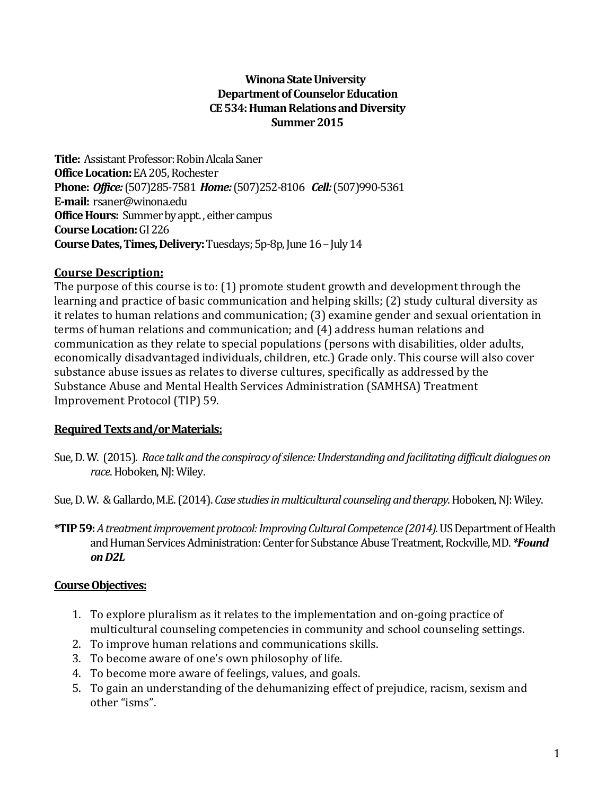#### **Winona State University Department of Counselor Education CE 534: Human Relations and Diversity Summer 2015**

**Title:** Assistant Professor: Robin Alcala Saner **Office Location:**EA 205, Rochester **Phone:** *Office:* (507)285-7581 *Home:* (507)252-8106 *Cell:* (507)990-5361 **E-mail:** rsaner@winona.edu **Office Hours:** Summer by appt. , either campus **Course Location:**GI 226 **Course Dates, Times, Delivery:** Tuesdays; 5p-8p, June 16 - July 14

#### **Course Description:**

The purpose of this course is to: (1) promote student growth and development through the learning and practice of basic communication and helping skills; (2) study cultural diversity as it relates to human relations and communication; (3) examine gender and sexual orientation in terms of human relations and communication; and (4) address human relations and communication as they relate to special populations (persons with disabilities, older adults, economically disadvantaged individuals, children, etc.) Grade only. This course will also cover substance abuse issues as relates to diverse cultures, specifically as addressed by the Substance Abuse and Mental Health Services Administration (SAMHSA) Treatment Improvement Protocol (TIP) 59.

#### **Required Texts and/or Materials:**

Sue, D. W. (2015). *Race talk and the conspiracy of silence: Understanding and facilitating difficult dialogues on race*.Hoboken, NJ: Wiley.

Sue, D. W. & Gallardo, M.E. (2014). *Case studies in multicultural counseling and therapy*. Hoboken, NJ: Wiley.

**\*TIP 59:** *A treatment improvement protocol: Improving Cultural Competence (2014).* US Department of Health and Human Services Administration: Center for Substance Abuse Treatment, Rockville, MD. *\*Found on D2L*

#### **Course Objectives:**

- 1. To explore pluralism as it relates to the implementation and on-going practice of multicultural counseling competencies in community and school counseling settings.
- 2. To improve human relations and communications skills.
- 3. To become aware of one's own philosophy of life.
- 4. To become more aware of feelings, values, and goals.
- 5. To gain an understanding of the dehumanizing effect of prejudice, racism, sexism and other "isms".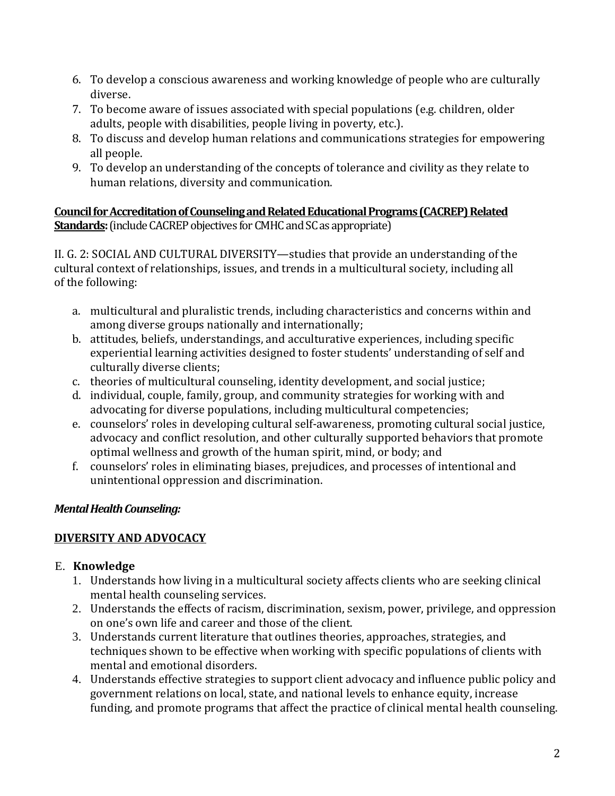- 6. To develop a conscious awareness and working knowledge of people who are culturally diverse.
- 7. To become aware of issues associated with special populations (e.g. children, older adults, people with disabilities, people living in poverty, etc.).
- 8. To discuss and develop human relations and communications strategies for empowering all people.
- 9. To develop an understanding of the concepts of tolerance and civility as they relate to human relations, diversity and communication.

#### **Council for Accreditation of Counseling and Related Educational Programs (CACREP) Related Standards:**(include CACREP objectives for CMHC and SC as appropriate)

II. G. 2: SOCIAL AND CULTURAL DIVERSITY—studies that provide an understanding of the cultural context of relationships, issues, and trends in a multicultural society, including all of the following:

- a. multicultural and pluralistic trends, including characteristics and concerns within and among diverse groups nationally and internationally;
- b. attitudes, beliefs, understandings, and acculturative experiences, including specific experiential learning activities designed to foster students' understanding of self and culturally diverse clients;
- c. theories of multicultural counseling, identity development, and social justice;
- d. individual, couple, family, group, and community strategies for working with and advocating for diverse populations, including multicultural competencies;
- e. counselors' roles in developing cultural self-awareness, promoting cultural social justice, advocacy and conflict resolution, and other culturally supported behaviors that promote optimal wellness and growth of the human spirit, mind, or body; and
- f. counselors' roles in eliminating biases, prejudices, and processes of intentional and unintentional oppression and discrimination.

### *Mental Health Counseling:*

## **DIVERSITY AND ADVOCACY**

### E. **Knowledge**

- 1. Understands how living in a multicultural society affects clients who are seeking clinical mental health counseling services.
- 2. Understands the effects of racism, discrimination, sexism, power, privilege, and oppression on one's own life and career and those of the client.
- 3. Understands current literature that outlines theories, approaches, strategies, and techniques shown to be effective when working with specific populations of clients with mental and emotional disorders.
- 4. Understands effective strategies to support client advocacy and influence public policy and government relations on local, state, and national levels to enhance equity, increase funding, and promote programs that affect the practice of clinical mental health counseling.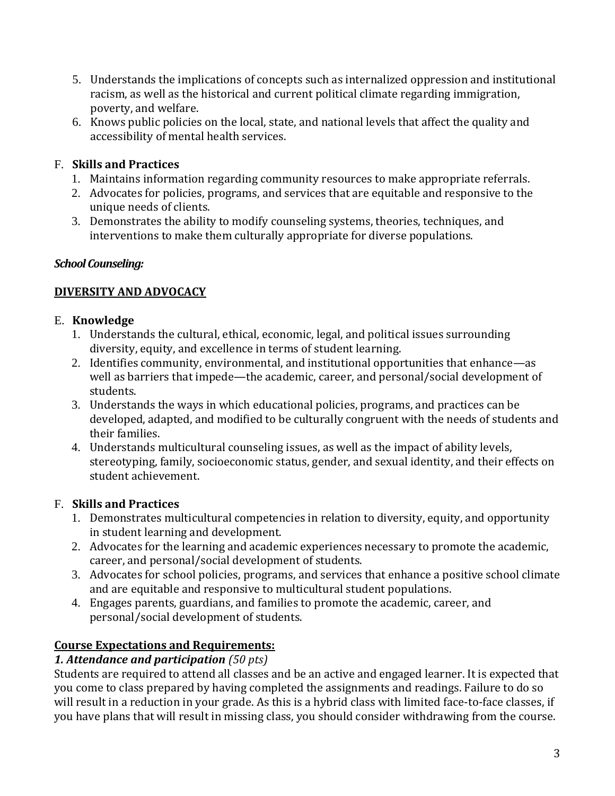- 5. Understands the implications of concepts such as internalized oppression and institutional racism, as well as the historical and current political climate regarding immigration, poverty, and welfare.
- 6. Knows public policies on the local, state, and national levels that affect the quality and accessibility of mental health services.

### F. **Skills and Practices**

- 1. Maintains information regarding community resources to make appropriate referrals.
- 2. Advocates for policies, programs, and services that are equitable and responsive to the unique needs of clients.
- 3. Demonstrates the ability to modify counseling systems, theories, techniques, and interventions to make them culturally appropriate for diverse populations.

#### *School Counseling:*

### **DIVERSITY AND ADVOCACY**

#### E. **Knowledge**

- 1. Understands the cultural, ethical, economic, legal, and political issues surrounding diversity, equity, and excellence in terms of student learning.
- 2. Identifies community, environmental, and institutional opportunities that enhance—as well as barriers that impede—the academic, career, and personal/social development of students.
- 3. Understands the ways in which educational policies, programs, and practices can be developed, adapted, and modified to be culturally congruent with the needs of students and their families.
- 4. Understands multicultural counseling issues, as well as the impact of ability levels, stereotyping, family, socioeconomic status, gender, and sexual identity, and their effects on student achievement.

### F. **Skills and Practices**

- 1. Demonstrates multicultural competencies in relation to diversity, equity, and opportunity in student learning and development.
- 2. Advocates for the learning and academic experiences necessary to promote the academic, career, and personal/social development of students.
- 3. Advocates for school policies, programs, and services that enhance a positive school climate and are equitable and responsive to multicultural student populations.
- 4. Engages parents, guardians, and families to promote the academic, career, and personal/social development of students.

### **Course Expectations and Requirements:**

### *1. Attendance and participation (50 pts)*

Students are required to attend all classes and be an active and engaged learner. It is expected that you come to class prepared by having completed the assignments and readings. Failure to do so will result in a reduction in your grade. As this is a hybrid class with limited face-to-face classes, if you have plans that will result in missing class, you should consider withdrawing from the course.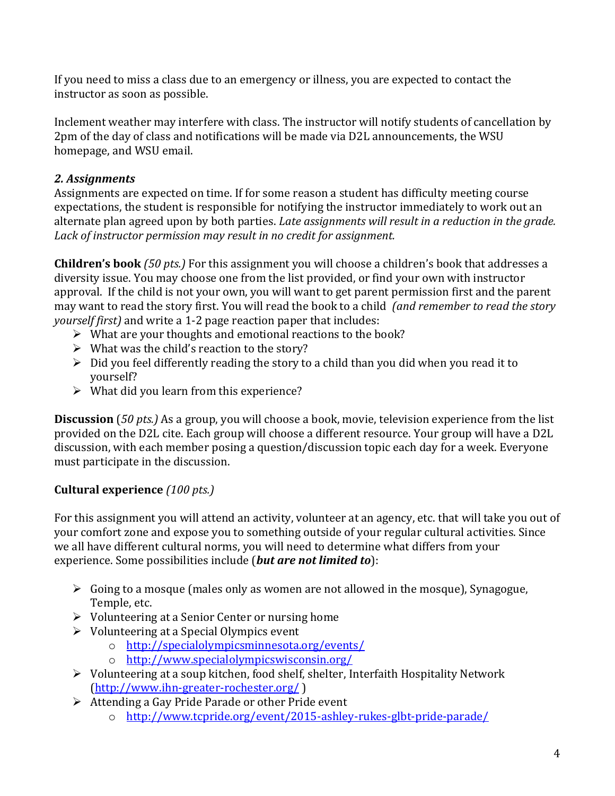If you need to miss a class due to an emergency or illness, you are expected to contact the instructor as soon as possible.

Inclement weather may interfere with class. The instructor will notify students of cancellation by 2pm of the day of class and notifications will be made via D2L announcements, the WSU homepage, and WSU email.

### *2. Assignments*

Assignments are expected on time. If for some reason a student has difficulty meeting course expectations, the student is responsible for notifying the instructor immediately to work out an alternate plan agreed upon by both parties. *Late assignments will result in a reduction in the grade. Lack of instructor permission may result in no credit for assignment.*

**Children's book** *(50 pts.)* For this assignment you will choose a children's book that addresses a diversity issue. You may choose one from the list provided, or find your own with instructor approval. If the child is not your own, you will want to get parent permission first and the parent may want to read the story first. You will read the book to a child *(and remember to read the story yourself first)* and write a 1-2 page reaction paper that includes:

- $\triangleright$  What are your thoughts and emotional reactions to the book?
- $\triangleright$  What was the child's reaction to the story?
- $\triangleright$  Did you feel differently reading the story to a child than you did when you read it to yourself?
- $\triangleright$  What did you learn from this experience?

**Discussion** (*50 pts.)* As a group, you will choose a book, movie, television experience from the list provided on the D2L cite. Each group will choose a different resource. Your group will have a D2L discussion, with each member posing a question/discussion topic each day for a week. Everyone must participate in the discussion.

### **Cultural experience** *(100 pts.)*

For this assignment you will attend an activity, volunteer at an agency, etc. that will take you out of your comfort zone and expose you to something outside of your regular cultural activities. Since we all have different cultural norms, you will need to determine what differs from your experience. Some possibilities include (*but are not limited to*):

- $\triangleright$  Going to a mosque (males only as women are not allowed in the mosque), Synagogue, Temple, etc.
- $\triangleright$  Volunteering at a Senior Center or nursing home
- $\triangleright$  Volunteering at a Special Olympics event
	- o <http://specialolympicsminnesota.org/events/>
	- o <http://www.specialolympicswisconsin.org/>
- Volunteering at a soup kitchen, food shelf, shelter, Interfaith Hospitality Network [\(http://www.ihn-greater-rochester.org/](http://www.ihn-greater-rochester.org/) )
- $\triangleright$  Attending a Gay Pride Parade or other Pride event
	- o <http://www.tcpride.org/event/2015-ashley-rukes-glbt-pride-parade/>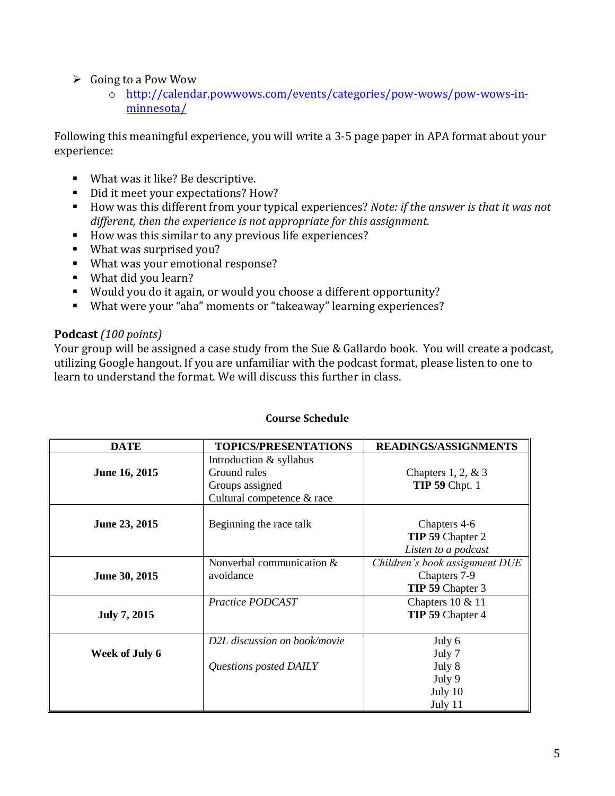#### $\triangleright$  Going to a Pow Wow

o [http://calendar.powwows.com/events/categories/pow-wows/pow-wows-in](http://calendar.powwows.com/events/categories/pow-wows/pow-wows-in-minnesota/)[minnesota/](http://calendar.powwows.com/events/categories/pow-wows/pow-wows-in-minnesota/)

Following this meaningful experience, you will write a 3-5 page paper in APA format about your experience:

- What was it like? Be descriptive.
- Did it meet your expectations? How?
- How was this different from your typical experiences? *Note: if the answer is that it was not different, then the experience is not appropriate for this assignment.*
- How was this similar to any previous life experiences?
- What was surprised you?
- What was your emotional response?
- What did you learn?
- Would you do it again, or would you choose a different opportunity?
- What were your "aha" moments or "takeaway" learning experiences?

#### **Podcast** *(100 points)*

Your group will be assigned a case study from the Sue & Gallardo book. You will create a podcast, utilizing Google hangout. If you are unfamiliar with the podcast format, please listen to one to learn to understand the format. We will discuss this further in class.

| <b>Course Schedule</b> |
|------------------------|
|                        |

| <b>DATE</b>         | <b>TOPICS/PRESENTATIONS</b>                                                              | <b>READINGS/ASSIGNMENTS</b>                                        |
|---------------------|------------------------------------------------------------------------------------------|--------------------------------------------------------------------|
| June 16, 2015       | Introduction & syllabus<br>Ground rules<br>Groups assigned<br>Cultural competence & race | Chapters $1, 2, \& 3$<br><b>TIP 59 Chpt. 1</b>                     |
| June 23, 2015       | Beginning the race talk                                                                  | Chapters 4-6<br>TIP 59 Chapter 2<br>Listen to a podcast            |
| June 30, 2015       | Nonverbal communication &<br>avoidance                                                   | Children's book assignment DUE<br>Chapters 7-9<br>TIP 59 Chapter 3 |
| <b>July 7, 2015</b> | Practice PODCAST                                                                         | Chapters 10 & 11<br>TIP 59 Chapter 4                               |
| Week of July 6      | D2L discussion on book/movie<br>Questions posted DAILY                                   | July 6<br>July 7<br>July 8                                         |
|                     |                                                                                          | July 9<br>July 10<br>July 11                                       |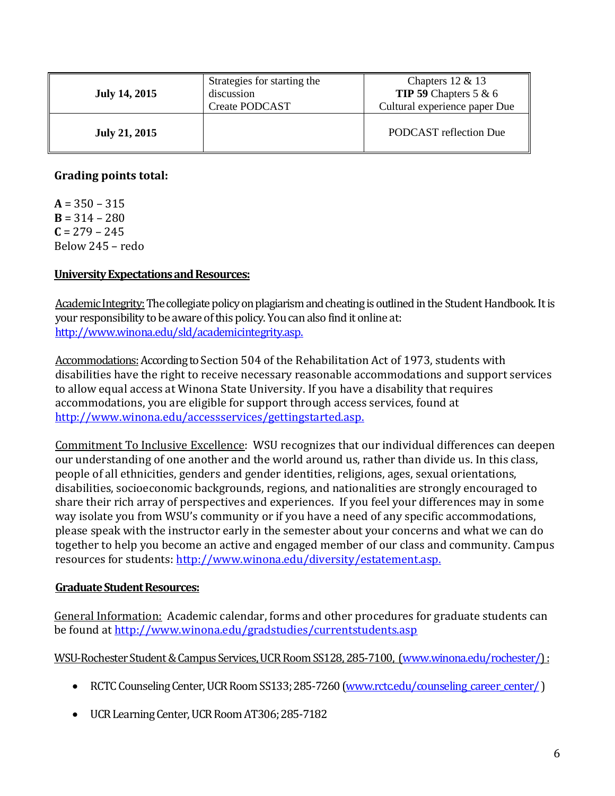| <b>July 14, 2015</b> | Strategies for starting the<br>discussion<br><b>Create PODCAST</b> | Chapters $12 \& 13$<br><b>TIP 59</b> Chapters $5 & 6$<br>Cultural experience paper Due |
|----------------------|--------------------------------------------------------------------|----------------------------------------------------------------------------------------|
| <b>July 21, 2015</b> |                                                                    | PODCAST reflection Due                                                                 |

#### **Grading points total:**

 $A = 350 - 315$  $B = 314 - 280$  $C = 279 - 245$ Below 245 – redo

#### **University Expectations and Resources:**

Academic Integrity: The collegiate policy on plagiarism and cheating is outlined in the Student Handbook. It is your responsibility to be aware of this policy. You can also find it online at: [http://www.winona.edu/sld/academicintegrity.asp.](http://www.winona.edu/sld/academicintegrity.asp)

Accommodations: According to Section 504 of the Rehabilitation Act of 1973, students with disabilities have the right to receive necessary reasonable accommodations and support services to allow equal access at Winona State University. If you have a disability that requires accommodations, you are eligible for support through access services, found at [http://www.winona.edu/accessservices/gettingstarted.asp.](http://www.winona.edu/accessservices/gettingstarted.asp)

Commitment To Inclusive Excellence: WSU recognizes that our individual differences can deepen our understanding of one another and the world around us, rather than divide us. In this class, people of all ethnicities, genders and gender identities, religions, ages, sexual orientations, disabilities, socioeconomic backgrounds, regions, and nationalities are strongly encouraged to share their rich array of perspectives and experiences. If you feel your differences may in some way isolate you from WSU's community or if you have a need of any specific accommodations, please speak with the instructor early in the semester about your concerns and what we can do together to help you become an active and engaged member of our class and community. Campus resources for students: [http://www.winona.edu/diversity/estatement.asp.](http://www.winona.edu/diversity/estatement.asp)

#### **Graduate Student Resources:**

General Information: Academic calendar, forms and other procedures for graduate students can be found at<http://www.winona.edu/gradstudies/currentstudents.asp>

WSU-Rochester Student & Campus Services, UCR Room SS128, 285-7100, [\(www.winona.edu/rochester/\)](http://www.winona.edu/rochester/) :

- RCTC Counseling Center, UCR Room SS133; 285-7260 (www.rctc.edu/counseling career center/)
- UCR Learning Center, UCR Room AT306; 285-7182